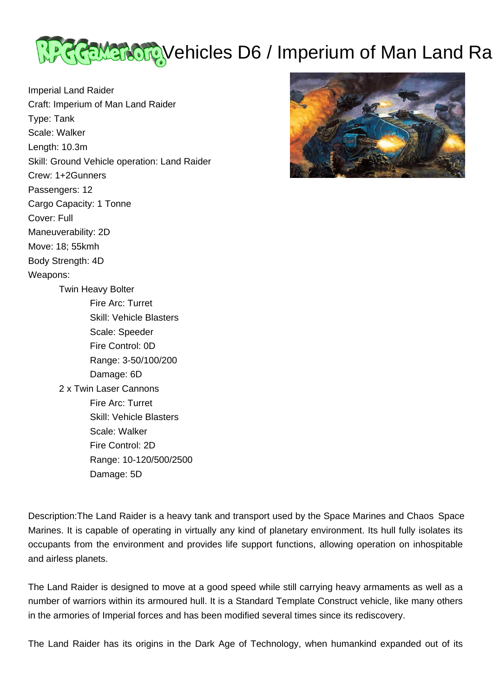

Imperial Land Raider Craft: Imperium of Man Land Raider Type: Tank Scale: Walker Length: 10.3m Skill: Ground Vehicle operation: Land Raider Crew: 1+2Gunners Passengers: 12 Cargo Capacity: 1 Tonne Cover: Full Maneuverability: 2D Move: 18; 55kmh Body Strength: 4D Weapons: Twin Heavy Bolter Fire Arc: Turret Skill: Vehicle Blasters Scale: Speeder Fire Control: 0D Range: 3-50/100/200 Damage: 6D 2 x Twin Laser Cannons Fire Arc: Turret Skill: Vehicle Blasters Scale: Walker Fire Control: 2D Range: 10-120/500/2500

Damage: 5D



Description:The Land Raider is a heavy tank and transport used by the Space Marines and Chaos Space Marines. It is capable of operating in virtually any kind of planetary environment. Its hull fully isolates its occupants from the environment and provides life support functions, allowing operation on inhospitable and airless planets.

The Land Raider is designed to move at a good speed while still carrying heavy armaments as well as a number of warriors within its armoured hull. It is a Standard Template Construct vehicle, like many others in the armories of Imperial forces and has been modified several times since its rediscovery.

The Land Raider has its origins in the Dark Age of Technology, when humankind expanded out of its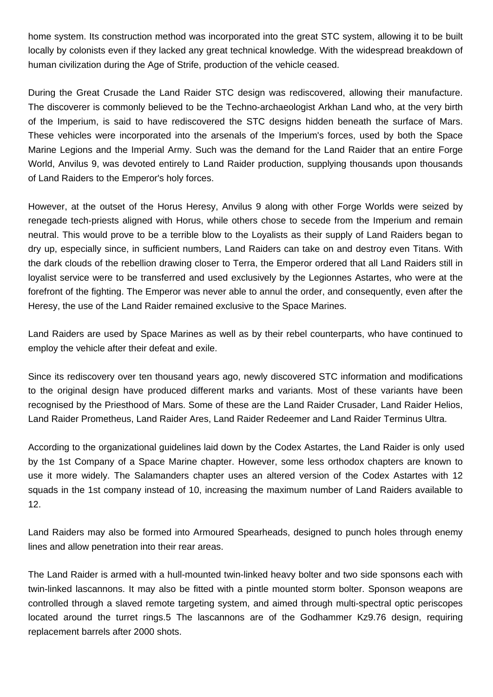home system. Its construction method was incorporated into the great STC system, allowing it to be built locally by colonists even if they lacked any great technical knowledge. With the widespread breakdown of human civilization during the Age of Strife, production of the vehicle ceased.

During the Great Crusade the Land Raider STC design was rediscovered, allowing their manufacture. The discoverer is commonly believed to be the Techno-archaeologist Arkhan Land who, at the very birth of the Imperium, is said to have rediscovered the STC designs hidden beneath the surface of Mars. These vehicles were incorporated into the arsenals of the Imperium's forces, used by both the Space Marine Legions and the Imperial Army. Such was the demand for the Land Raider that an entire Forge World, Anvilus 9, was devoted entirely to Land Raider production, supplying thousands upon thousands of Land Raiders to the Emperor's holy forces.

However, at the outset of the Horus Heresy, Anvilus 9 along with other Forge Worlds were seized by renegade tech-priests aligned with Horus, while others chose to secede from the Imperium and remain neutral. This would prove to be a terrible blow to the Loyalists as their supply of Land Raiders began to dry up, especially since, in sufficient numbers, Land Raiders can take on and destroy even Titans. With the dark clouds of the rebellion drawing closer to Terra, the Emperor ordered that all Land Raiders still in loyalist service were to be transferred and used exclusively by the Legionnes Astartes, who were at the forefront of the fighting. The Emperor was never able to annul the order, and consequently, even after the Heresy, the use of the Land Raider remained exclusive to the Space Marines.

Land Raiders are used by Space Marines as well as by their rebel counterparts, who have continued to employ the vehicle after their defeat and exile.

Since its rediscovery over ten thousand years ago, newly discovered STC information and modifications to the original design have produced different marks and variants. Most of these variants have been recognised by the Priesthood of Mars. Some of these are the Land Raider Crusader, Land Raider Helios, Land Raider Prometheus, Land Raider Ares, Land Raider Redeemer and Land Raider Terminus Ultra.

According to the organizational guidelines laid down by the Codex Astartes, the Land Raider is only used by the 1st Company of a Space Marine chapter. However, some less orthodox chapters are known to use it more widely. The Salamanders chapter uses an altered version of the Codex Astartes with 12 squads in the 1st company instead of 10, increasing the maximum number of Land Raiders available to 12.

Land Raiders may also be formed into Armoured Spearheads, designed to punch holes through enemy lines and allow penetration into their rear areas.

The Land Raider is armed with a hull-mounted twin-linked heavy bolter and two side sponsons each with twin-linked lascannons. It may also be fitted with a pintle mounted storm bolter. Sponson weapons are controlled through a slaved remote targeting system, and aimed through multi-spectral optic periscopes located around the turret rings.5 The lascannons are of the Godhammer Kz9.76 design, requiring replacement barrels after 2000 shots.